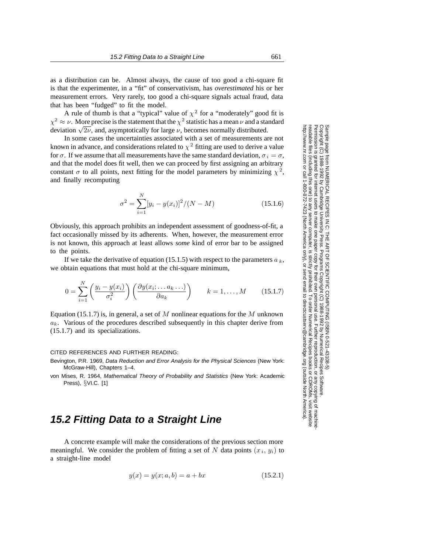as a distribution can be. Almost always, the cause of too good a chi-square fit is that the experimenter, in a "fit" of conservativism, has *overestimated* his or her measurement errors. Very rarely, too good a chi-square signals actual fraud, data that has been "fudged" to fit the model.

A rule of thumb is that a "typical" value of  $\chi^2$  for a "moderately" good fit is  $\chi^2 \approx \nu$ . More precise is the statement that the  $\chi^2$  statistic has a mean  $\nu$  and a standard deviation  $\sqrt{2\nu}$ , and, asymptotically for large  $\nu$ , becomes normally distributed.

In some cases the uncertainties associated with a set of measurements are not known in advance, and considerations related to  $\chi^2$  fitting are used to derive a value for  $\sigma$ . If we assume that all measurements have the same standard deviation,  $\sigma_i = \sigma$ , and that the model does fit well, then we can proceed by first assigning an arbitrary constant  $\sigma$  to all points, next fitting for the model parameters by minimizing  $\chi^2$ , and finally recomputing

$$
\sigma^2 = \sum_{i=1}^{N} [y_i - y(x_i)]^2 / (N - M)
$$
 (15.1.6)

Obviously, this approach prohibits an independent assessment of goodness-of-fit, a fact occasionally missed by its adherents. When, however, the measurement error is not known, this approach at least allows *some* kind of error bar to be assigned to the points.

If we take the derivative of equation (15.1.5) with respect to the parameters  $a<sub>k</sub>$ , we obtain equations that must hold at the chi-square minimum,

$$
0 = \sum_{i=1}^{N} \left( \frac{y_i - y(x_i)}{\sigma_i^2} \right) \left( \frac{\partial y(x_i; \dots a_k \dots)}{\partial a_k} \right) \qquad k = 1, \dots, M \qquad (15.1.7)
$$

Equation (15.1.7) is, in general, a set of M nonlinear equations for the M unknown a*k*. Various of the procedures described subsequently in this chapter derive from (15.1.7) and its specializations.

## CITED REFERENCES AND FURTHER READING:

- Bevington, P.R. 1969, Data Reduction and Error Analysis for the Physical Sciences (New York: McGraw-Hill), Chapters 1–4.
- von Mises, R. 1964, Mathematical Theory of Probability and Statistics (New York: Academic Press), §VI.C. [1]

## **15.2 Fitting Data to a Straight Line**

A concrete example will make the considerations of the previous section more meaningful. We consider the problem of fitting a set of N data points  $(x_i, y_i)$  to a straight-line model

$$
y(x) = y(x; a, b) = a + bx \tag{15.2.1}
$$

Permission is granted for internet users to make one paper copy for their own personal use. Further reproduction, or any copyin Copyright (C) 1988-1992 by Cambridge University Press.Programs Copyright (C) 1988-1992 by Numerical Recipes Software. readable files (including this one) to any servercomputer, is strictly prohibited. To order Numerical Recipes bookshttp://www.nr.com or call 1-800-872-7423 (North America only),or send email to directcustserv@cambridge.org (outside North America).

g of machine-

or CDROMs, visit website

Sample page from NUMERICAL RECIPES IN C: THE ART OF SCIENTIFIC COMPUTING (ISBN 0-521-43108-5)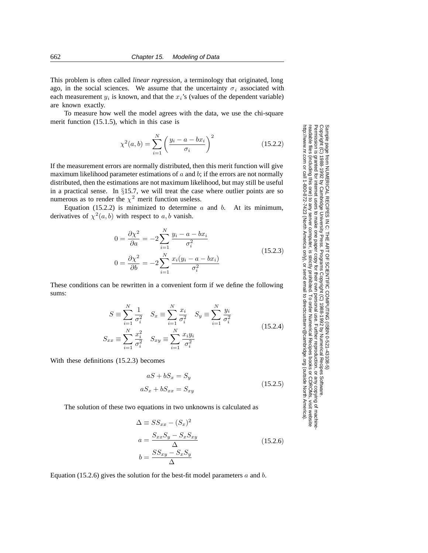This problem is often called *linear regression*, a terminology that originated, long ago, in the social sciences. We assume that the uncertainty  $\sigma_i$  associated with each measurement  $y_i$  is known, and that the  $x_i$ 's (values of the dependent variable) are known exactly.

To measure how well the model agrees with the data, we use the chi-square merit function (15.1.5), which in this case is

$$
\chi^{2}(a,b) = \sum_{i=1}^{N} \left( \frac{y_i - a - bx_i}{\sigma_i} \right)^2
$$
 (15.2.2)

If the measurement errors are normally distributed, then this merit function will give maximum likelihood parameter estimations of  $a$  and  $b$ ; if the errors are not normally distributed, then the estimations are not maximum likelihood, but may still be useful in a practical sense. In §15.7, we will treat the case where outlier points are so numerous as to render the  $\chi^2$  merit function useless.

Equation (15.2.2) is minimized to determine  $a$  and  $b$ . At its minimum, derivatives of  $\chi^2(a, b)$  with respect to a, b vanish.

$$
0 = \frac{\partial \chi^2}{\partial a} = -2 \sum_{i=1}^{N} \frac{y_i - a - bx_i}{\sigma_i^2}
$$
  
\n
$$
0 = \frac{\partial \chi^2}{\partial b} = -2 \sum_{i=1}^{N} \frac{x_i (y_i - a - bx_i)}{\sigma_i^2}
$$
\n(15.2.3)

These conditions can be rewritten in a convenient form if we define the following sums:

$$
S \equiv \sum_{i=1}^{N} \frac{1}{\sigma_i^2} \quad S_x \equiv \sum_{i=1}^{N} \frac{x_i}{\sigma_i^2} \quad S_y \equiv \sum_{i=1}^{N} \frac{y_i}{\sigma_i^2}
$$
  

$$
S_{xx} \equiv \sum_{i=1}^{N} \frac{x_i^2}{\sigma_i^2} \quad S_{xy} \equiv \sum_{i=1}^{N} \frac{x_i y_i}{\sigma_i^2}
$$
(15.2.4)

With these definitions (15.2.3) becomes

$$
aS + bS_x = S_y
$$

$$
aS_x + bS_{xx} = S_{xy} \tag{15.2.5}
$$

The solution of these two equations in two unknowns is calculated as

$$
\Delta \equiv SS_{xx} - (S_x)^2
$$
  
\n
$$
a = \frac{S_{xx}S_y - S_xS_{xy}}{\Delta}
$$
  
\n
$$
b = \frac{SS_{xy} - S_xS_y}{\Delta}
$$
\n(15.2.6)

Equation (15.2.6) gives the solution for the best-fit model parameters  $a$  and  $b$ .

Sample page t<br>Copyright (C) Copyright (C) 1988-1992 by Cambridge University Press.Sample page from NUMERICAL RECIPES IN C: THE ART OF SCIENTIFIC COMPUTING (ISBN 0-521-43108-5) http://www.nr.com or call 1-800-872-7423 (North America only),readable files (including this one) to any serverPermission is granted for internet users to make one paper copy for their own personal use. Further reproduction, or any copyin irom NUMERICAL RECIPES IN C. THE ART OF SCIENTIFIC COMPUTING (18BN 0-531-43108-6) 1988-1992 by Cambridge University Press. Programs Copyright (C) 1988-1992 by Numerical Recipes Software computer, is strictly prohibited. To order Numerical Recipes booksPrograms Copyright (C) 1988-1992 by Numerical Recipes Software. or send email to directcustserv@cambridge.org (outside North America). or CDROMs, visit website g of machine-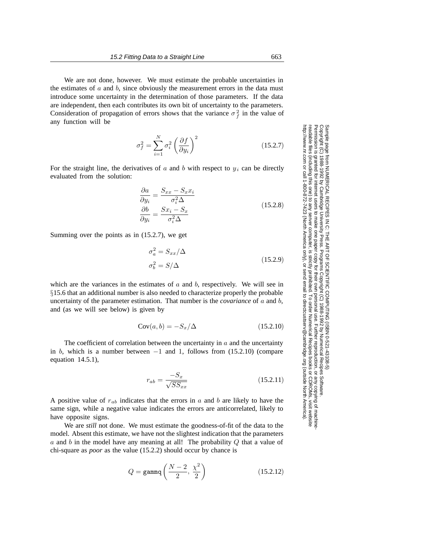We are not done, however. We must estimate the probable uncertainties in the estimates of  $a$  and  $b$ , since obviously the measurement errors in the data must introduce some uncertainty in the determination of those parameters. If the data are independent, then each contributes its own bit of uncertainty to the parameters. Consideration of propagation of errors shows that the variance  $\sigma_f^2$  in the value of any function will be

$$
\sigma_f^2 = \sum_{i=1}^N \sigma_i^2 \left(\frac{\partial f}{\partial y_i}\right)^2 \tag{15.2.7}
$$

For the straight line, the derivatives of  $a$  and  $b$  with respect to  $y_i$  can be directly evaluated from the solution:

$$
\frac{\partial a}{\partial y_i} = \frac{S_{xx} - S_x x_i}{\sigma_i^2 \Delta}
$$
\n
$$
\frac{\partial b}{\partial y_i} = \frac{S x_i - S_x}{\sigma_i^2 \Delta}
$$
\n(15.2.8)

Summing over the points as in (15.2.7), we get

$$
\sigma_a^2 = S_{xx}/\Delta
$$
  
\n
$$
\sigma_b^2 = S/\Delta
$$
\n(15.2.9)

which are the variances in the estimates of  $a$  and  $b$ , respectively. We will see in §15.6 that an additional number is also needed to characterize properly the probable uncertainty of the parameter estimation. That number is the *covariance* of a and b, and (as we will see below) is given by

$$
Cov(a, b) = -S_x/\Delta \qquad (15.2.10)
$$

The coefficient of correlation between the uncertainty in  $\alpha$  and the uncertainty in b, which is a number between  $-1$  and 1, follows from (15.2.10) (compare equation 14.5.1),

$$
r_{ab} = \frac{-S_x}{\sqrt{SS_{xx}}}
$$
\n(15.2.11)

A positive value of r*ab* indicates that the errors in a and b are likely to have the same sign, while a negative value indicates the errors are anticorrelated, likely to have opposite signs.

We are *still* not done. We must estimate the goodness-of-fit of the data to the model. Absent this estimate, we have not the slightest indication that the parameters  $a$  and  $b$  in the model have any meaning at all! The probability  $Q$  that a value of chi-square as *poor* as the value (15.2.2) should occur by chance is

$$
Q = \text{gamma}\left(\frac{N-2}{2}, \frac{\chi^2}{2}\right) \tag{15.2.12}
$$

Permission is granted for internet users to make one paper copy for their own personal use. Further reproduction, or any copyin Copyright (C) 1988-1992 by Cambridge University Press.3ample page from NUMERICAL RECIPES IN C: THE ART OF SCIENTIFIC COMPUTING (ISBN 0-521-43108-5)<br>Copyright (C) 1988-1992 by Cambridge University Press. Programs Copyright (C) 1988-1992 by Numerical Recipes Software. Programs Copyright (C) 1988-1992 by Numerical Recipes Software. Sample page from NUMERICAL RECIPES IN C: THE ART OF SCIENTIFIC COMPUTING (ISBN 0-521-43108-5) g of machinereadable files (including this one) to any servercomputer, is strictly prohibited. To order Numerical Recipes booksor CDROMs, visit website http://www.nr.com or call 1-800-872-7423 (North America only),or send email to directcustserv@cambridge.org (outside North America).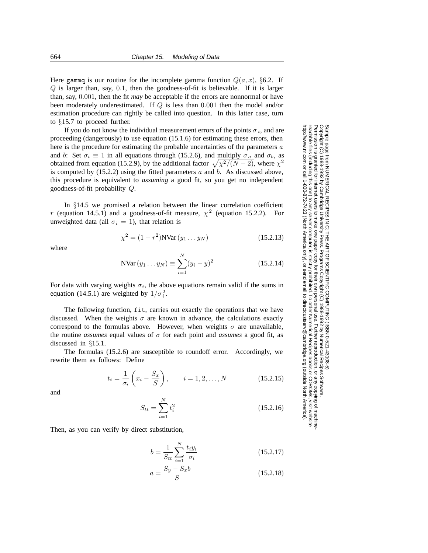Here gammq is our routine for the incomplete gamma function  $Q(a, x)$ , §6.2. If Q is larger than, say, 0.1, then the goodness-of-fit is believable. If it is larger than, say, 0.001, then the fit *may* be acceptable if the errors are nonnormal or have been moderately underestimated. If Q is less than 0.001 then the model and/or estimation procedure can rightly be called into question. In this latter case, turn to §15.7 to proceed further.

If you do not know the individual measurement errors of the points  $\sigma_i$ , and are proceeding (dangerously) to use equation (15.1.6) for estimating these errors, then here is the procedure for estimating the probable uncertainties of the parameters a and b: Set  $\sigma_i \equiv 1$  in all equations through (15.2.6), and multiply  $\sigma_a$  and  $\sigma_b$ , as obtained from equation (15.2.9), by the additional factor  $\sqrt{\chi^2/(N-2)}$ , where  $\chi^2$ is computed by  $(15.2.2)$  using the fitted parameters  $a$  and  $b$ . As discussed above, this procedure is equivalent to *assuming* a good fit, so you get no independent goodness-of-fit probability Q.

In §14.5 we promised a relation between the linear correlation coefficient r (equation 14.5.1) and a goodness-of-fit measure,  $\chi^2$  (equation 15.2.2). For unweighted data (all  $\sigma_i = 1$ ), that relation is

$$
\chi^2 = (1 - r^2) \text{NVar}(y_1 \dots y_N) \tag{15.2.13}
$$

where

NVar 
$$
(y_1 \dots y_N)
$$
  $\equiv \sum_{i=1}^{N} (y_i - \overline{y})^2$  (15.2.14)

Permission is granted for internet users to make one paper copy for their own personal use. Further reproduction, or any copyin

computer, is strictly prohibited. To order Numerical Recipes books

or send email to directcustserv@cambridge.org (outside North America).

from NUMERICAL RECIPES IN C. THE ART OF SCIENTIFIC COMPUTING (ISBN 0-521-43108-5)<br>1988-1992 by Cambridge University Press. Programs Copyright (C) 1988-1992 by Numerical Recipes Software

Sample page from NUMERICAL RECIPES IN C: THE ART OF SCIENTIFIC COMPUTING (ISBN 0-521-43108-5)

Programs Copyright (C) 1988-1992 by Numerical Recipes Software.

g of machine-

or CDROMs, visit website

Copyright (C) 1988-1992 by Cambridge University Press.

Sample page 1<br>Copyright (C)<br>Permission is

readable files (including this one) to any server

http://www.nr.com or call 1-800-872-7423 (North America only),

For data with varying weights  $\sigma_i$ , the above equations remain valid if the sums in equation (14.5.1) are weighted by  $1/\sigma_i^2$ .

The following function, fit, carries out exactly the operations that we have discussed. When the weights  $\sigma$  are known in advance, the calculations exactly correspond to the formulas above. However, when weights  $\sigma$  are unavailable, the routine *assumes* equal values of  $\sigma$  for each point and *assumes* a good fit, as discussed in §15.1.

The formulas (15.2.6) are susceptible to roundoff error. Accordingly, we rewrite them as follows: Define

$$
t_i = \frac{1}{\sigma_i} \left( x_i - \frac{S_x}{S} \right), \qquad i = 1, 2, ..., N
$$
 (15.2.15)

and

$$
S_{tt} = \sum_{i=1}^{N} t_i^2
$$
 (15.2.16)

Then, as you can verify by direct substitution,

$$
b = \frac{1}{S_{tt}} \sum_{i=1}^{N} \frac{t_i y_i}{\sigma_i}
$$
 (15.2.17)

$$
a = \frac{S_y - S_x b}{S}
$$
 (15.2.18)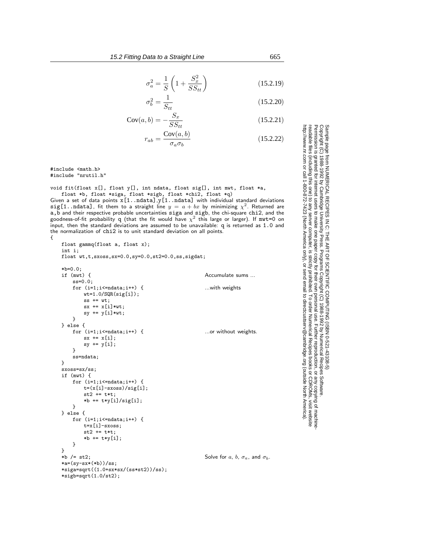$$
\sigma_a^2 = \frac{1}{S} \left( 1 + \frac{S_x^2}{SS_{tt}} \right) \tag{15.2.19}
$$

$$
\sigma_b^2 = \frac{1}{S_{tt}}
$$

$$
Cov(a, b) = -\frac{S_x}{SS_{tt}}\tag{15.2.21}
$$

$$
r_{ab} = \frac{\text{Cov}(a, b)}{\sigma_a \sigma_b} \tag{15.2.22}
$$

#include <math.h> #include "nrutil.h"

void fit(float x[], float y[], int ndata, float sig[], int mwt, float \*a, float \*b, float \*siga, float \*sigb, float \*chi2, float \*q)

Given a set of data points  $x[1..ndata]$ ,  $y[1..ndata]$  with individual standard deviations sig[1..ndata], fit them to a straight line  $y = a + bx$  by minimizing  $\chi^2$ . Returned are a,b and their respective probable uncertainties siga and sigb, the chi-square chi2, and the goodness-of-fit probability  ${\tt q}$  (that the fit would have  $\chi^2$  this large or larger). If  ${\tt mwt=0}$  on input, then the standard deviations are assumed to be unavailable: q is returned as 1.0 and the normalization of chi2 is to unit standard deviation on all points. {

```
float gammq(float a, float x);
int i;
float wt,t,sxoss,sx=0.0,sy=0.0,st2=0.0,ss,sigdat;
*b=0.0;<br>if (mwt) {
                                                     Accumulate sums
    ss=0.0;
    for (i=1; i \leq n \text{data}; i++) { ...with weights
       wt=1.0/SQR(sig[i]);
        ss += wt;
        sx += x[i]*wt;sy := y[i]*wt;}
} else {
    for (i=1; i \leq n \text{data}; i++) { ...or without weights.
       sx := x[i];sy += y[i];
    }
    ss=ndata;
}
sxoss=sx/ss;
if (mwt) {
    for (i=1; i \leq = 0 \text{ data}; i++) {
        t=(x[i]-sxoss)/sig[i];
        st2 += t*t;
        *b += t*y[i]/sig[i];}
} else {
   for (i=1; i \leq -ndata; i++) {
        t=x[i]-sxoss;
        st2 += t*t:
        *b += t*y[i];
    }
}<br>*b /= st2;
                                                     Solve for a, b, \sigma_a, and \sigma_b.
*a=(sy-sx*(*b))/ss;*siga=sqrt((1.0+sx*sx/(ss*st2))/ss);
*sigb=sqrt(1.0/st2);
```
Permission is granted for internet users to make one paper copy for their own personal use. Further reproduction, or any copyin Copyright (C) 1988-1992 by Cambridge University Press.Programs Copyright (C) 1988-1992 by Numerical Recipes Software. Sample page from NUMERICAL RECIPES IN C: THE ART OF SCIENTIFIC COMPUTING (ISBN 0-521-43108-5) g of machinereadable files (including this one) to any servercomputer, is strictly prohibited. To order Numerical Recipes booksor CDROMs, visit website http://www.nr.com or call 1-800-872-7423 (North America only),or send email to directcustserv@cambridge.org (outside North America).

 $(15.2.20)$